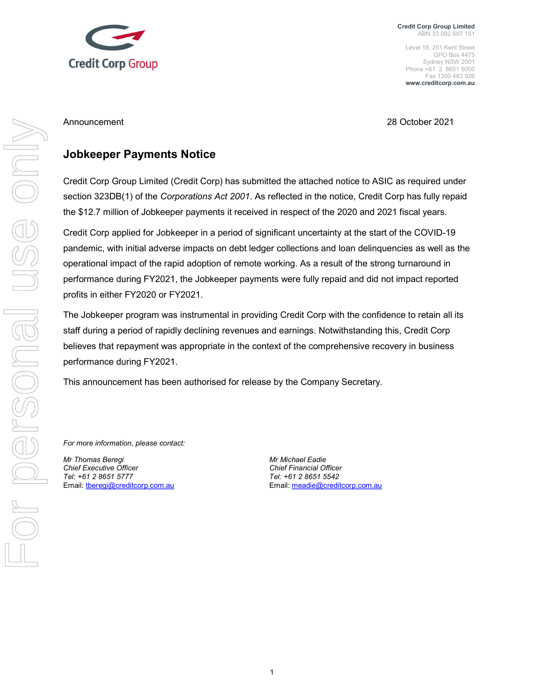

Credit Corp Group Limited ABN 33 092 697 151

Level 15, 201 Kent Street GPO Box 4475 Sydney NSW 2001 Phone +61 2 8651 5000 Fax 1300 483 926 www.creditcorp.com.au

Announcement 28 October 2021

## Jobkeeper Payments Notice

Credit Corp Group Limited (Credit Corp) has submitted the attached notice to ASIC as required under section 323DB(1) of the Corporations Act 2001. As reflected in the notice, Credit Corp has fully repaid the \$12.7 million of Jobkeeper payments it received in respect of the 2020 and 2021 fiscal years.

Credit Corp applied for Jobkeeper in a period of significant uncertainty at the start of the COVID-19 pandemic, with initial adverse impacts on debt ledger collections and loan delinquencies as well as the operational impact of the rapid adoption of remote working. As a result of the strong turnaround in performance during FY2021, the Jobkeeper payments were fully repaid and did not impact reported profits in either FY2020 or FY2021.

The Jobkeeper program was instrumental in providing Credit Corp with the confidence to retain all its staff during a period of rapidly declining revenues and earnings. Notwithstanding this, Credit Corp believes that repayment was appropriate in the context of the comprehensive recovery in business performance during FY2021.

This announcement has been authorised for release by the Company Secretary.

For more information, please contact:

Mr Thomas Beregi **Mr Michael Eadie** Mr Michael Eadie Chief Executive Officer Chief Financial Officer Tel: +61 2 8651 5777 Tel: +61 2 8651 5542 Email: tberegi@creditcorp.com.au Email: meadie@creditcorp.com.au